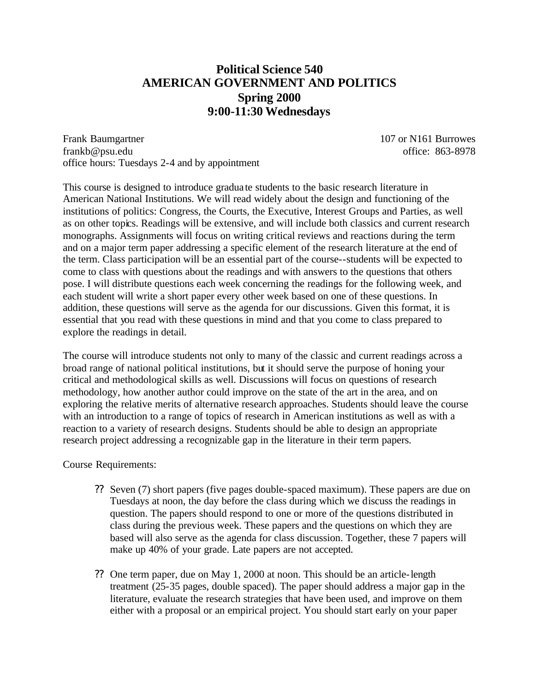# **Political Science 540 AMERICAN GOVERNMENT AND POLITICS Spring 2000 9:00-11:30 Wednesdays**

Frank Baumgartner 107 or N161 Burrowes frankb@psu.edu office: 863-8978 office hours: Tuesdays 2-4 and by appointment

This course is designed to introduce gradua te students to the basic research literature in American National Institutions. We will read widely about the design and functioning of the institutions of politics: Congress, the Courts, the Executive, Interest Groups and Parties, as well as on other topics. Readings will be extensive, and will include both classics and current research monographs. Assignments will focus on writing critical reviews and reactions during the term and on a major term paper addressing a specific element of the research literature at the end of the term. Class participation will be an essential part of the course--students will be expected to come to class with questions about the readings and with answers to the questions that others pose. I will distribute questions each week concerning the readings for the following week, and each student will write a short paper every other week based on one of these questions. In addition, these questions will serve as the agenda for our discussions. Given this format, it is essential that you read with these questions in mind and that you come to class prepared to explore the readings in detail.

The course will introduce students not only to many of the classic and current readings across a broad range of national political institutions, but it should serve the purpose of honing your critical and methodological skills as well. Discussions will focus on questions of research methodology, how another author could improve on the state of the art in the area, and on exploring the relative merits of alternative research approaches. Students should leave the course with an introduction to a range of topics of research in American institutions as well as with a reaction to a variety of research designs. Students should be able to design an appropriate research project addressing a recognizable gap in the literature in their term papers.

Course Requirements:

- ?? Seven (7) short papers (five pages double-spaced maximum). These papers are due on Tuesdays at noon, the day before the class during which we discuss the readings in question. The papers should respond to one or more of the questions distributed in class during the previous week. These papers and the questions on which they are based will also serve as the agenda for class discussion. Together, these 7 papers will make up 40% of your grade. Late papers are not accepted.
- ?? One term paper, due on May 1, 2000 at noon. This should be an article-length treatment (25-35 pages, double spaced). The paper should address a major gap in the literature, evaluate the research strategies that have been used, and improve on them either with a proposal or an empirical project. You should start early on your paper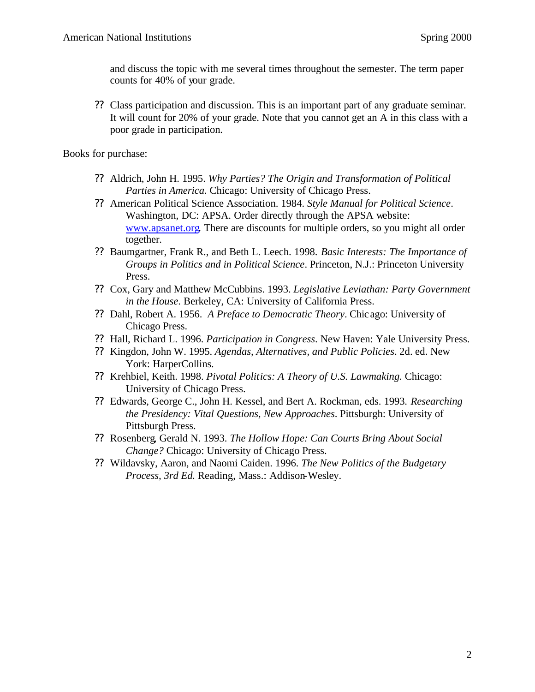and discuss the topic with me several times throughout the semester. The term paper counts for 40% of your grade.

?? Class participation and discussion. This is an important part of any graduate seminar. It will count for 20% of your grade. Note that you cannot get an A in this class with a poor grade in participation.

Books for purchase:

- ?? Aldrich, John H. 1995. *Why Parties? The Origin and Transformation of Political Parties in America.* Chicago: University of Chicago Press.
- ?? American Political Science Association. 1984. *Style Manual for Political Science*. Washington, DC: APSA. Order directly through the APSA website: www.apsanet.org. There are discounts for multiple orders, so you might all order together.
- ?? Baumgartner, Frank R., and Beth L. Leech. 1998. *Basic Interests: The Importance of Groups in Politics and in Political Science*. Princeton, N.J.: Princeton University Press.
- ?? Cox, Gary and Matthew McCubbins. 1993. *Legislative Leviathan: Party Government in the House*. Berkeley, CA: University of California Press.
- ?? Dahl, Robert A. 1956. *A Preface to Democratic Theory*. Chicago: University of Chicago Press.
- ?? Hall, Richard L. 1996. *Participation in Congress*. New Haven: Yale University Press.
- ?? Kingdon, John W. 1995. *Agendas, Alternatives, and Public Policies*. 2d. ed. New York: HarperCollins.
- ?? Krehbiel, Keith. 1998. *Pivotal Politics: A Theory of U.S. Lawmaking.* Chicago: University of Chicago Press.
- ?? Edwards, George C., John H. Kessel, and Bert A. Rockman, eds. 1993. *Researching the Presidency: Vital Questions, New Approaches*. Pittsburgh: University of Pittsburgh Press.
- ?? Rosenberg, Gerald N. 1993. *The Hollow Hope: Can Courts Bring About Social Change?* Chicago: University of Chicago Press.
- ?? Wildavsky, Aaron, and Naomi Caiden. 1996. *The New Politics of the Budgetary Process, 3rd Ed.* Reading, Mass.: Addison-Wesley.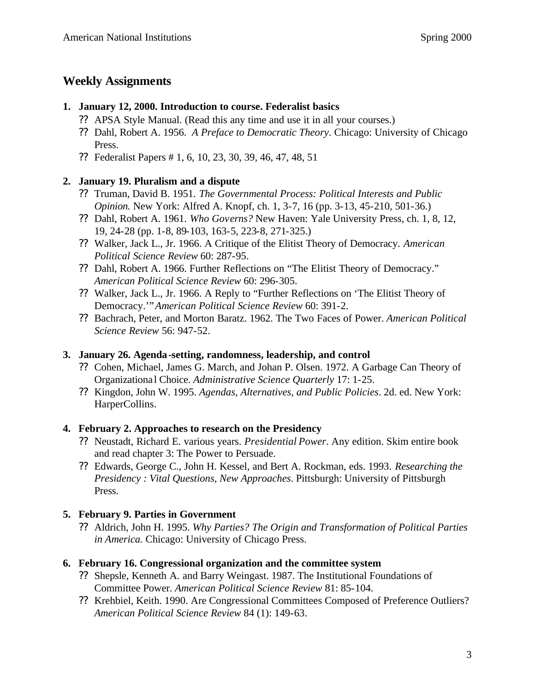# **Weekly Assignments**

## **1. January 12, 2000. Introduction to course. Federalist basics**

- ?? APSA Style Manual. (Read this any time and use it in all your courses.)
- ?? Dahl, Robert A. 1956. *A Preface to Democratic Theory*. Chicago: University of Chicago Press.
- ?? Federalist Papers # 1, 6, 10, 23, 30, 39, 46, 47, 48, 51

# **2. January 19. Pluralism and a dispute**

- ?? Truman, David B. 1951. *The Governmental Process: Political Interests and Public Opinion.* New York: Alfred A. Knopf, ch. 1, 3-7, 16 (pp. 3-13, 45-210, 501-36.)
- ?? Dahl, Robert A. 1961. *Who Governs?* New Haven: Yale University Press, ch. 1, 8, 12, 19, 24-28 (pp. 1-8, 89-103, 163-5, 223-8, 271-325.)
- ?? Walker, Jack L., Jr. 1966. A Critique of the Elitist Theory of Democracy. *American Political Science Review* 60: 287-95.
- ?? Dahl, Robert A. 1966. Further Reflections on "The Elitist Theory of Democracy." *American Political Science Review* 60: 296-305.
- ?? Walker, Jack L., Jr. 1966. A Reply to "Further Reflections on 'The Elitist Theory of Democracy.'"*American Political Science Review* 60: 391-2.
- ?? Bachrach, Peter, and Morton Baratz. 1962. The Two Faces of Power. *American Political Science Review* 56: 947-52.

# **3. January 26. Agenda-setting, randomness, leadership, and control**

- ?? Cohen, Michael, James G. March, and Johan P. Olsen. 1972. A Garbage Can Theory of Organizationa l Choice. *Administrative Science Quarterly* 17: 1-25.
- ?? Kingdon, John W. 1995. *Agendas, Alternatives, and Public Policies*. 2d. ed. New York: HarperCollins.

# **4. February 2. Approaches to research on the Presidency**

- ?? Neustadt, Richard E. various years. *Presidential Power*. Any edition. Skim entire book and read chapter 3: The Power to Persuade.
- ?? Edwards, George C., John H. Kessel, and Bert A. Rockman, eds. 1993. *Researching the Presidency : Vital Questions, New Approaches*. Pittsburgh: University of Pittsburgh Press.

# **5. February 9. Parties in Government**

?? Aldrich, John H. 1995. *Why Parties? The Origin and Transformation of Political Parties in America.* Chicago: University of Chicago Press.

# **6. February 16. Congressional organization and the committee system**

- ?? Shepsle, Kenneth A. and Barry Weingast. 1987. The Institutional Foundations of Committee Power. *American Political Science Review* 81: 85-104.
- ?? Krehbiel, Keith. 1990. Are Congressional Committees Composed of Preference Outliers? *American Political Science Review* 84 (1): 149-63.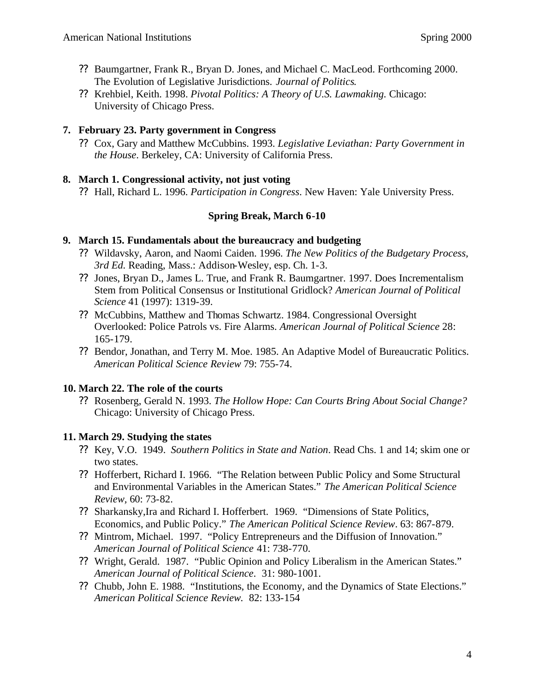- ?? Baumgartner, Frank R., Bryan D. Jones, and Michael C. MacLeod. Forthcoming 2000. The Evolution of Legislative Jurisdictions. *Journal of Politics*.
- ?? Krehbiel, Keith. 1998. *Pivotal Politics: A Theory of U.S. Lawmaking.* Chicago: University of Chicago Press.

## **7. February 23. Party government in Congress**

?? Cox, Gary and Matthew McCubbins. 1993. *Legislative Leviathan: Party Government in the House*. Berkeley, CA: University of California Press.

#### **8. March 1. Congressional activity, not just voting**

?? Hall, Richard L. 1996. *Participation in Congress*. New Haven: Yale University Press.

# **Spring Break, March 6-10**

#### **9. March 15. Fundamentals about the bureaucracy and budgeting**

- ?? Wildavsky, Aaron, and Naomi Caiden. 1996. *The New Politics of the Budgetary Process, 3rd Ed.* Reading, Mass.: Addison-Wesley, esp. Ch. 1-3.
- ?? Jones, Bryan D., James L. True, and Frank R. Baumgartner. 1997. Does Incrementalism Stem from Political Consensus or Institutional Gridlock? *American Journal of Political Science* 41 (1997): 1319-39.
- ?? McCubbins, Matthew and Thomas Schwartz. 1984. Congressional Oversight Overlooked: Police Patrols vs. Fire Alarms. *American Journal of Political Science* 28: 165-179.
- ?? Bendor, Jonathan, and Terry M. Moe. 1985. An Adaptive Model of Bureaucratic Politics. *American Political Science Review* 79: 755-74.

#### **10. March 22. The role of the courts**

?? Rosenberg, Gerald N. 1993. *The Hollow Hope: Can Courts Bring About Social Change?* Chicago: University of Chicago Press.

# **11. March 29. Studying the states**

- ?? Key, V.O. 1949. *Southern Politics in State and Nation*. Read Chs. 1 and 14; skim one or two states.
- ?? Hofferbert, Richard I. 1966. "The Relation between Public Policy and Some Structural and Environmental Variables in the American States." *The American Political Science Review,* 60: 73-82.
- ?? Sharkansky,Ira and Richard I. Hofferbert. 1969. "Dimensions of State Politics, Economics, and Public Policy." *The American Political Science Review*. 63: 867-879.
- ?? Mintrom, Michael. 1997. "Policy Entrepreneurs and the Diffusion of Innovation." *American Journal of Political Science* 41: 738-770.
- ?? Wright, Gerald. 1987. "Public Opinion and Policy Liberalism in the American States." *American Journal of Political Science*. 31: 980-1001.
- ?? Chubb, John E. 1988. "Institutions, the Economy, and the Dynamics of State Elections." *American Political Science Review.* 82: 133-154